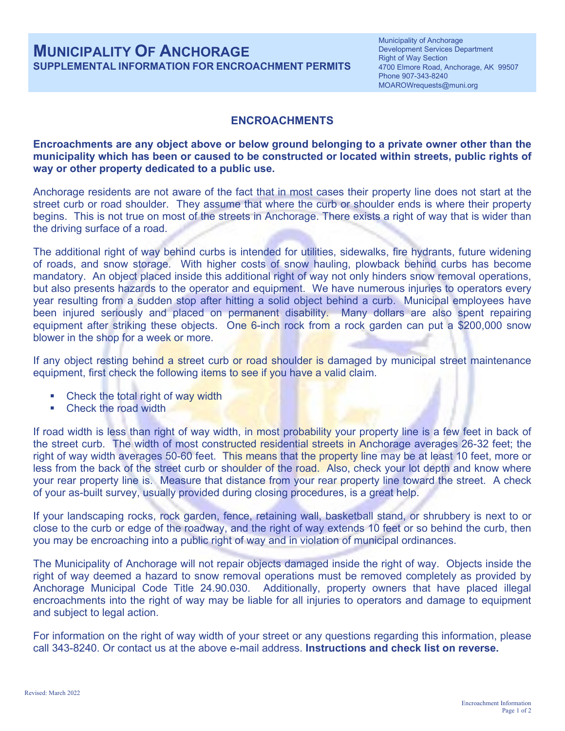## **MUNICIPALITY OF ANCHORAGE SUPPLEMENTAL INFORMATION FOR ENCROACHMENT PERMITS**

Municipality of Anchorage Development Services Department Right of Way Section 4700 Elmore Road, Anchorage, AK 99507 Phone 907-343-8240 MOAROWrequests@muni.org

## **ENCROACHMENTS**

## **Encroachments are any object above or below ground belonging to a private owner other than the municipality which has been or caused to be constructed or located within streets, public rights of way or other property dedicated to a public use.**

Anchorage residents are not aware of the fact that in most cases their property line does not start at the street curb or road shoulder. They assume that where the curb or shoulder ends is where their property begins. This is not true on most of the streets in Anchorage. There exists a right of way that is wider than the driving surface of a road.

The additional right of way behind curbs is intended for utilities, sidewalks, fire hydrants, future widening of roads, and snow storage. With higher costs of snow hauling, plowback behind curbs has become mandatory. An object placed inside this additional right of way not only hinders snow removal operations, but also presents hazards to the operator and equipment. We have numerous injuries to operators every year resulting from a sudden stop after hitting a solid object behind a curb. Municipal employees have been injured seriously and placed on permanent disability. Many dollars are also spent repairing equipment after striking these objects. One 6-inch rock from a rock garden can put a \$200,000 snow blower in the shop for a week or more.

If any object resting behind a street curb or road shoulder is damaged by municipal street maintenance equipment, first check the following items to see if you have a valid claim.

- Check the total right of way width
- Check the road width

If road width is less than right of way width, in most probability your property line is a few feet in back of the street curb. The width of most constructed residential streets in Anchorage averages 26-32 feet; the right of way width averages 50-60 feet. This means that the property line may be at least 10 feet, more or less from the back of the street curb or shoulder of the road. Also, check your lot depth and know where your rear property line is. Measure that distance from your rear property line toward the street. A check of your as-built survey, usually provided during closing procedures, is a great help.

If your landscaping rocks, rock garden, fence, retaining wall, basketball stand, or shrubbery is next to or close to the curb or edge of the roadway, and the right of way extends 10 feet or so behind the curb, then you may be encroaching into a public right of way and in violation of municipal ordinances.

The Municipality of Anchorage will not repair objects damaged inside the right of way. Objects inside the right of way deemed a hazard to snow removal operations must be removed completely as provided by Anchorage Municipal Code Title 24.90.030. Additionally, property owners that have placed illegal encroachments into the right of way may be liable for all injuries to operators and damage to equipment and subject to legal action.

For information on the right of way width of your street or any questions regarding this information, please call 343-8240. Or contact us at the above e-mail address. **Instructions and check list on reverse.**